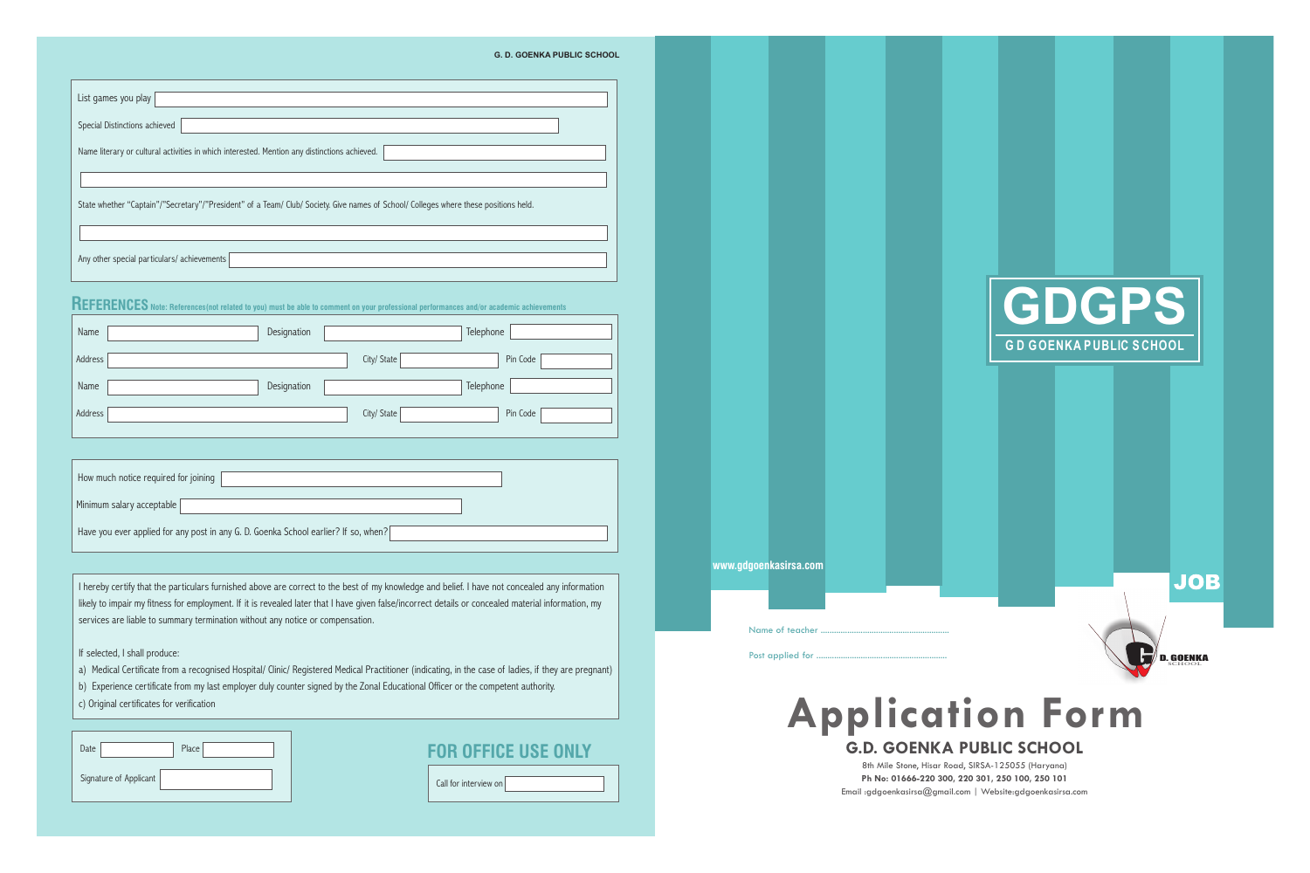## **REFERENCES Note: References(not related to you) must be able to comment on your professional performances and/or academic achievements**

| Name    | Designation |             | Telephone |
|---------|-------------|-------------|-----------|
| Address |             | City/ State | Pin Code  |
| Name    | Designation |             | Telephone |
| Address |             | City/ State | Pin Code  |

### **FOR OFFICE USE ONLY**

|--|

| How much notice required for joining                                                |
|-------------------------------------------------------------------------------------|
| Minimum salary acceptable                                                           |
| Have you ever applied for any post in any G. D. Goenka School earlier? If so, when? |

| Date                   | Place |
|------------------------|-------|
| Signature of Applicant |       |

I hereby certify that the particulars furnished above are correct to the best of my knowledge and belief. I have not concealed any information likely to impair my fitness for employment. If it is revealed later that I have given false/incorrect details or concealed material information, my services are liable to summary termination without any notice or compensation.

If selected, I shall produce:

a) Medical Certificate from a recognised Hospital/ Clinic/ Registered Medical Practitioner (indicating, in the case of ladies, if they are pregnant)

b) Experience certificate from my last employer duly counter signed by the Zonal Educational Officer or the competent authority. c) Original certificates for verification

#### **G. D. GOENKA PUBLIC SCHOOL**

| List games you play                                                                                                                  |
|--------------------------------------------------------------------------------------------------------------------------------------|
| Special Distinctions achieved                                                                                                        |
| Name literary or cultural activities in which interested. Mention any distinctions achieved.                                         |
|                                                                                                                                      |
| State whether "Captain"/"Secretary"/"President" of a Team/ Club/ Society. Give names of School/ Colleges where these positions held. |
|                                                                                                                                      |
| Any other special particulars/ achievements                                                                                          |



Name of teacher

Post applied for ...





# **Application Form G.D. GOENKA PUBLIC SCHOOL**

8th Mile Stone, Hisar Road, SIRSA-125055 (Haryana) **Ph No: 01666-220 300, 220 301, 250 100, 250 101** Email :gdgoenkasirsa@gmail.com | Website:gdgoenkasirsa.com